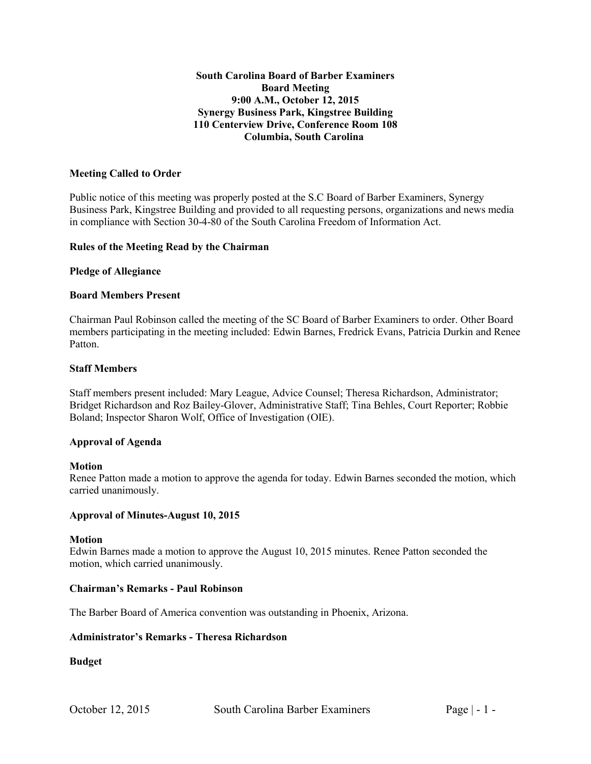# **South Carolina Board of Barber Examiners Board Meeting 9:00 A.M., October 12, 2015 Synergy Business Park, Kingstree Building 110 Centerview Drive, Conference Room 108 Columbia, South Carolina**

### **Meeting Called to Order**

Public notice of this meeting was properly posted at the S.C Board of Barber Examiners, Synergy Business Park, Kingstree Building and provided to all requesting persons, organizations and news media in compliance with Section 30-4-80 of the South Carolina Freedom of Information Act.

#### **Rules of the Meeting Read by the Chairman**

#### **Pledge of Allegiance**

#### **Board Members Present**

Chairman Paul Robinson called the meeting of the SC Board of Barber Examiners to order. Other Board members participating in the meeting included: Edwin Barnes, Fredrick Evans, Patricia Durkin and Renee Patton.

### **Staff Members**

Staff members present included: Mary League, Advice Counsel; Theresa Richardson, Administrator; Bridget Richardson and Roz Bailey-Glover, Administrative Staff; Tina Behles, Court Reporter; Robbie Boland; Inspector Sharon Wolf, Office of Investigation (OIE).

#### **Approval of Agenda**

#### **Motion**

Renee Patton made a motion to approve the agenda for today. Edwin Barnes seconded the motion, which carried unanimously.

#### **Approval of Minutes-August 10, 2015**

#### **Motion**

Edwin Barnes made a motion to approve the August 10, 2015 minutes. Renee Patton seconded the motion, which carried unanimously.

# **Chairman's Remarks - Paul Robinson**

The Barber Board of America convention was outstanding in Phoenix, Arizona.

# **Administrator's Remarks - Theresa Richardson**

# **Budget**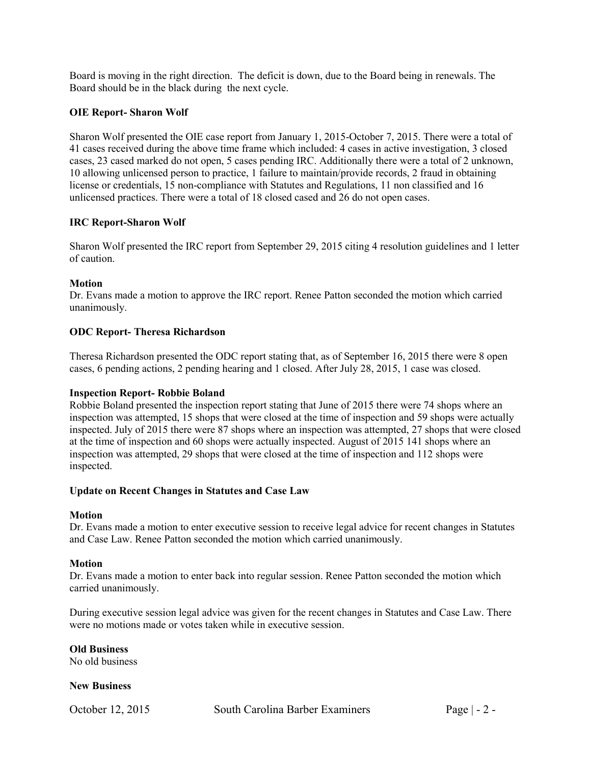Board is moving in the right direction. The deficit is down, due to the Board being in renewals. The Board should be in the black during the next cycle.

# **OIE Report- Sharon Wolf**

Sharon Wolf presented the OIE case report from January 1, 2015-October 7, 2015. There were a total of 41 cases received during the above time frame which included: 4 cases in active investigation, 3 closed cases, 23 cased marked do not open, 5 cases pending IRC. Additionally there were a total of 2 unknown, 10 allowing unlicensed person to practice, 1 failure to maintain/provide records, 2 fraud in obtaining license or credentials, 15 non-compliance with Statutes and Regulations, 11 non classified and 16 unlicensed practices. There were a total of 18 closed cased and 26 do not open cases.

# **IRC Report-Sharon Wolf**

Sharon Wolf presented the IRC report from September 29, 2015 citing 4 resolution guidelines and 1 letter of caution.

# **Motion**

Dr. Evans made a motion to approve the IRC report. Renee Patton seconded the motion which carried unanimously.

# **ODC Report- Theresa Richardson**

Theresa Richardson presented the ODC report stating that, as of September 16, 2015 there were 8 open cases, 6 pending actions, 2 pending hearing and 1 closed. After July 28, 2015, 1 case was closed.

# **Inspection Report- Robbie Boland**

Robbie Boland presented the inspection report stating that June of 2015 there were 74 shops where an inspection was attempted, 15 shops that were closed at the time of inspection and 59 shops were actually inspected. July of 2015 there were 87 shops where an inspection was attempted, 27 shops that were closed at the time of inspection and 60 shops were actually inspected. August of 2015 141 shops where an inspection was attempted, 29 shops that were closed at the time of inspection and 112 shops were inspected.

# **Update on Recent Changes in Statutes and Case Law**

# **Motion**

Dr. Evans made a motion to enter executive session to receive legal advice for recent changes in Statutes and Case Law. Renee Patton seconded the motion which carried unanimously.

# **Motion**

Dr. Evans made a motion to enter back into regular session. Renee Patton seconded the motion which carried unanimously.

During executive session legal advice was given for the recent changes in Statutes and Case Law. There were no motions made or votes taken while in executive session.

**Old Business** 

No old business

# **New Business**

October 12, 2015 South Carolina Barber Examiners Page | - 2 -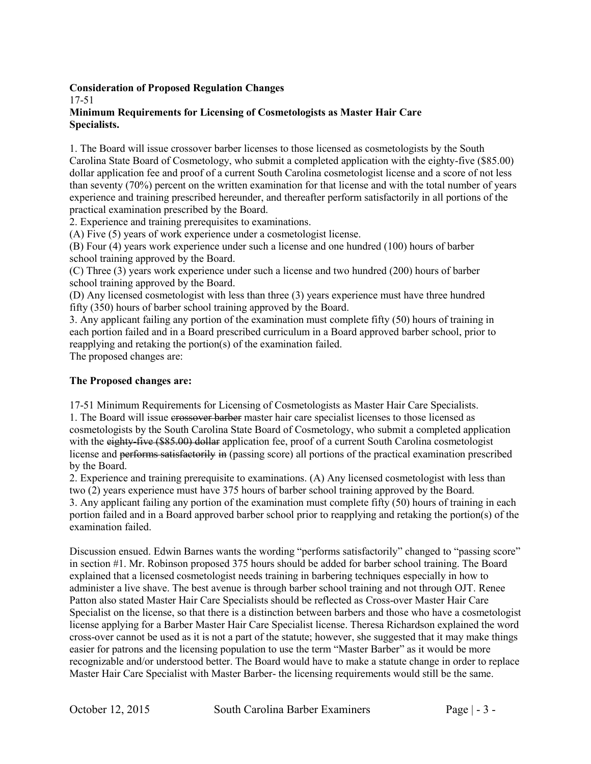# **Consideration of Proposed Regulation Changes**

17-51

# **Minimum Requirements for Licensing of Cosmetologists as Master Hair Care Specialists.**

1. The Board will issue crossover barber licenses to those licensed as cosmetologists by the South Carolina State Board of Cosmetology, who submit a completed application with the eighty-five (\$85.00) dollar application fee and proof of a current South Carolina cosmetologist license and a score of not less than seventy (70%) percent on the written examination for that license and with the total number of years experience and training prescribed hereunder, and thereafter perform satisfactorily in all portions of the practical examination prescribed by the Board.

2. Experience and training prerequisites to examinations.

(A) Five (5) years of work experience under a cosmetologist license.

(B) Four (4) years work experience under such a license and one hundred (100) hours of barber school training approved by the Board.

(C) Three (3) years work experience under such a license and two hundred (200) hours of barber school training approved by the Board.

(D) Any licensed cosmetologist with less than three (3) years experience must have three hundred fifty (350) hours of barber school training approved by the Board.

3. Any applicant failing any portion of the examination must complete fifty (50) hours of training in each portion failed and in a Board prescribed curriculum in a Board approved barber school, prior to reapplying and retaking the portion(s) of the examination failed.

The proposed changes are:

# **The Proposed changes are:**

17-51 Minimum Requirements for Licensing of Cosmetologists as Master Hair Care Specialists. 1. The Board will issue erossover barber master hair care specialist licenses to those licensed as cosmetologists by the South Carolina State Board of Cosmetology, who submit a completed application with the eighty-five (\$85.00) dollar application fee, proof of a current South Carolina cosmetologist license and performs satisfactorily in (passing score) all portions of the practical examination prescribed by the Board.

2. Experience and training prerequisite to examinations. (A) Any licensed cosmetologist with less than two (2) years experience must have 375 hours of barber school training approved by the Board. 3. Any applicant failing any portion of the examination must complete fifty (50) hours of training in each portion failed and in a Board approved barber school prior to reapplying and retaking the portion(s) of the examination failed.

Discussion ensued. Edwin Barnes wants the wording "performs satisfactorily" changed to "passing score" in section #1. Mr. Robinson proposed 375 hours should be added for barber school training. The Board explained that a licensed cosmetologist needs training in barbering techniques especially in how to administer a live shave. The best avenue is through barber school training and not through OJT. Renee Patton also stated Master Hair Care Specialists should be reflected as Cross-over Master Hair Care Specialist on the license, so that there is a distinction between barbers and those who have a cosmetologist license applying for a Barber Master Hair Care Specialist license. Theresa Richardson explained the word cross-over cannot be used as it is not a part of the statute; however, she suggested that it may make things easier for patrons and the licensing population to use the term "Master Barber" as it would be more recognizable and/or understood better. The Board would have to make a statute change in order to replace Master Hair Care Specialist with Master Barber- the licensing requirements would still be the same.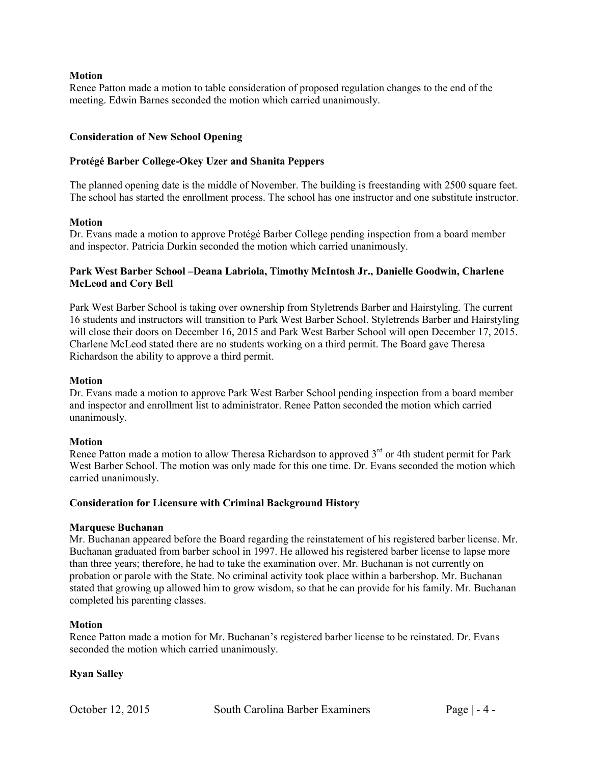### **Motion**

Renee Patton made a motion to table consideration of proposed regulation changes to the end of the meeting. Edwin Barnes seconded the motion which carried unanimously.

#### **Consideration of New School Opening**

### **Protégé Barber College-Okey Uzer and Shanita Peppers**

The planned opening date is the middle of November. The building is freestanding with 2500 square feet. The school has started the enrollment process. The school has one instructor and one substitute instructor.

#### **Motion**

Dr. Evans made a motion to approve Protégé Barber College pending inspection from a board member and inspector. Patricia Durkin seconded the motion which carried unanimously.

# **Park West Barber School –Deana Labriola, Timothy McIntosh Jr., Danielle Goodwin, Charlene McLeod and Cory Bell**

Park West Barber School is taking over ownership from Styletrends Barber and Hairstyling. The current 16 students and instructors will transition to Park West Barber School. Styletrends Barber and Hairstyling will close their doors on December 16, 2015 and Park West Barber School will open December 17, 2015. Charlene McLeod stated there are no students working on a third permit. The Board gave Theresa Richardson the ability to approve a third permit.

#### **Motion**

Dr. Evans made a motion to approve Park West Barber School pending inspection from a board member and inspector and enrollment list to administrator. Renee Patton seconded the motion which carried unanimously.

#### **Motion**

Renee Patton made a motion to allow Theresa Richardson to approved  $3<sup>rd</sup>$  or 4th student permit for Park West Barber School. The motion was only made for this one time. Dr. Evans seconded the motion which carried unanimously.

#### **Consideration for Licensure with Criminal Background History**

#### **Marquese Buchanan**

Mr. Buchanan appeared before the Board regarding the reinstatement of his registered barber license. Mr. Buchanan graduated from barber school in 1997. He allowed his registered barber license to lapse more than three years; therefore, he had to take the examination over. Mr. Buchanan is not currently on probation or parole with the State. No criminal activity took place within a barbershop. Mr. Buchanan stated that growing up allowed him to grow wisdom, so that he can provide for his family. Mr. Buchanan completed his parenting classes.

# **Motion**

Renee Patton made a motion for Mr. Buchanan's registered barber license to be reinstated. Dr. Evans seconded the motion which carried unanimously.

# **Ryan Salley**

October 12, 2015 South Carolina Barber Examiners Page | - 4 -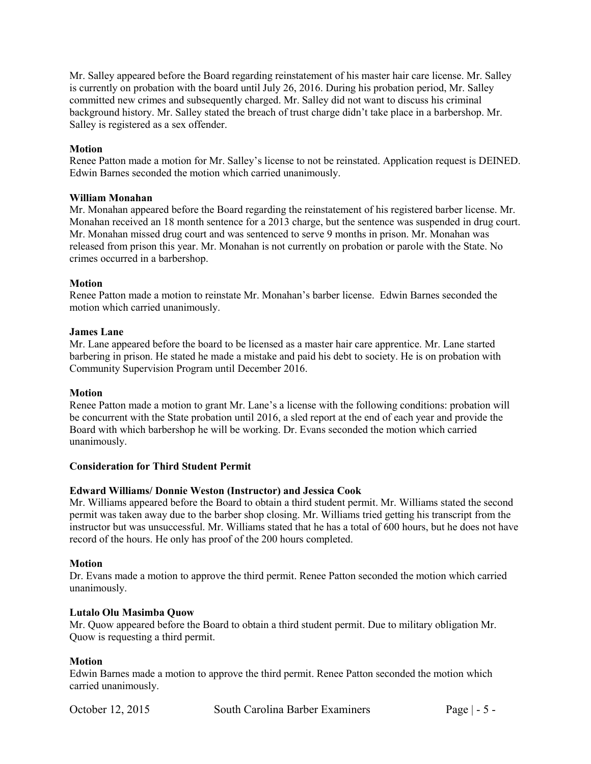Mr. Salley appeared before the Board regarding reinstatement of his master hair care license. Mr. Salley is currently on probation with the board until July 26, 2016. During his probation period, Mr. Salley committed new crimes and subsequently charged. Mr. Salley did not want to discuss his criminal background history. Mr. Salley stated the breach of trust charge didn't take place in a barbershop. Mr. Salley is registered as a sex offender.

# **Motion**

Renee Patton made a motion for Mr. Salley's license to not be reinstated. Application request is DEINED. Edwin Barnes seconded the motion which carried unanimously.

# **William Monahan**

Mr. Monahan appeared before the Board regarding the reinstatement of his registered barber license. Mr. Monahan received an 18 month sentence for a 2013 charge, but the sentence was suspended in drug court. Mr. Monahan missed drug court and was sentenced to serve 9 months in prison. Mr. Monahan was released from prison this year. Mr. Monahan is not currently on probation or parole with the State. No crimes occurred in a barbershop.

# **Motion**

Renee Patton made a motion to reinstate Mr. Monahan's barber license. Edwin Barnes seconded the motion which carried unanimously.

# **James Lane**

Mr. Lane appeared before the board to be licensed as a master hair care apprentice. Mr. Lane started barbering in prison. He stated he made a mistake and paid his debt to society. He is on probation with Community Supervision Program until December 2016.

# **Motion**

Renee Patton made a motion to grant Mr. Lane's a license with the following conditions: probation will be concurrent with the State probation until 2016, a sled report at the end of each year and provide the Board with which barbershop he will be working. Dr. Evans seconded the motion which carried unanimously.

# **Consideration for Third Student Permit**

# **Edward Williams/ Donnie Weston (Instructor) and Jessica Cook**

Mr. Williams appeared before the Board to obtain a third student permit. Mr. Williams stated the second permit was taken away due to the barber shop closing. Mr. Williams tried getting his transcript from the instructor but was unsuccessful. Mr. Williams stated that he has a total of 600 hours, but he does not have record of the hours. He only has proof of the 200 hours completed.

# **Motion**

Dr. Evans made a motion to approve the third permit. Renee Patton seconded the motion which carried unanimously.

# **Lutalo Olu Masimba Quow**

Mr. Quow appeared before the Board to obtain a third student permit. Due to military obligation Mr. Quow is requesting a third permit.

# **Motion**

Edwin Barnes made a motion to approve the third permit. Renee Patton seconded the motion which carried unanimously.

October 12, 2015 South Carolina Barber Examiners Page | - 5 -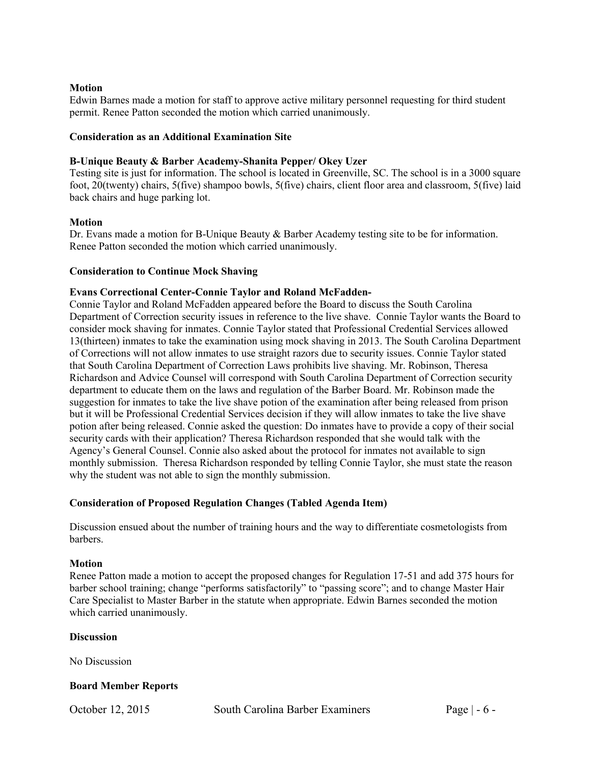# **Motion**

Edwin Barnes made a motion for staff to approve active military personnel requesting for third student permit. Renee Patton seconded the motion which carried unanimously.

#### **Consideration as an Additional Examination Site**

### **B-Unique Beauty & Barber Academy-Shanita Pepper/ Okey Uzer**

Testing site is just for information. The school is located in Greenville, SC. The school is in a 3000 square foot, 20(twenty) chairs, 5(five) shampoo bowls, 5(five) chairs, client floor area and classroom, 5(five) laid back chairs and huge parking lot.

#### **Motion**

Dr. Evans made a motion for B-Unique Beauty & Barber Academy testing site to be for information. Renee Patton seconded the motion which carried unanimously.

#### **Consideration to Continue Mock Shaving**

#### **Evans Correctional Center-Connie Taylor and Roland McFadden-**

Connie Taylor and Roland McFadden appeared before the Board to discuss the South Carolina Department of Correction security issues in reference to the live shave. Connie Taylor wants the Board to consider mock shaving for inmates. Connie Taylor stated that Professional Credential Services allowed 13(thirteen) inmates to take the examination using mock shaving in 2013. The South Carolina Department of Corrections will not allow inmates to use straight razors due to security issues. Connie Taylor stated that South Carolina Department of Correction Laws prohibits live shaving. Mr. Robinson, Theresa Richardson and Advice Counsel will correspond with South Carolina Department of Correction security department to educate them on the laws and regulation of the Barber Board. Mr. Robinson made the suggestion for inmates to take the live shave potion of the examination after being released from prison but it will be Professional Credential Services decision if they will allow inmates to take the live shave potion after being released. Connie asked the question: Do inmates have to provide a copy of their social security cards with their application? Theresa Richardson responded that she would talk with the Agency's General Counsel. Connie also asked about the protocol for inmates not available to sign monthly submission. Theresa Richardson responded by telling Connie Taylor, she must state the reason why the student was not able to sign the monthly submission.

# **Consideration of Proposed Regulation Changes (Tabled Agenda Item)**

Discussion ensued about the number of training hours and the way to differentiate cosmetologists from barbers.

#### **Motion**

Renee Patton made a motion to accept the proposed changes for Regulation 17-51 and add 375 hours for barber school training; change "performs satisfactorily" to "passing score"; and to change Master Hair Care Specialist to Master Barber in the statute when appropriate. Edwin Barnes seconded the motion which carried unanimously.

#### **Discussion**

No Discussion

# **Board Member Reports**